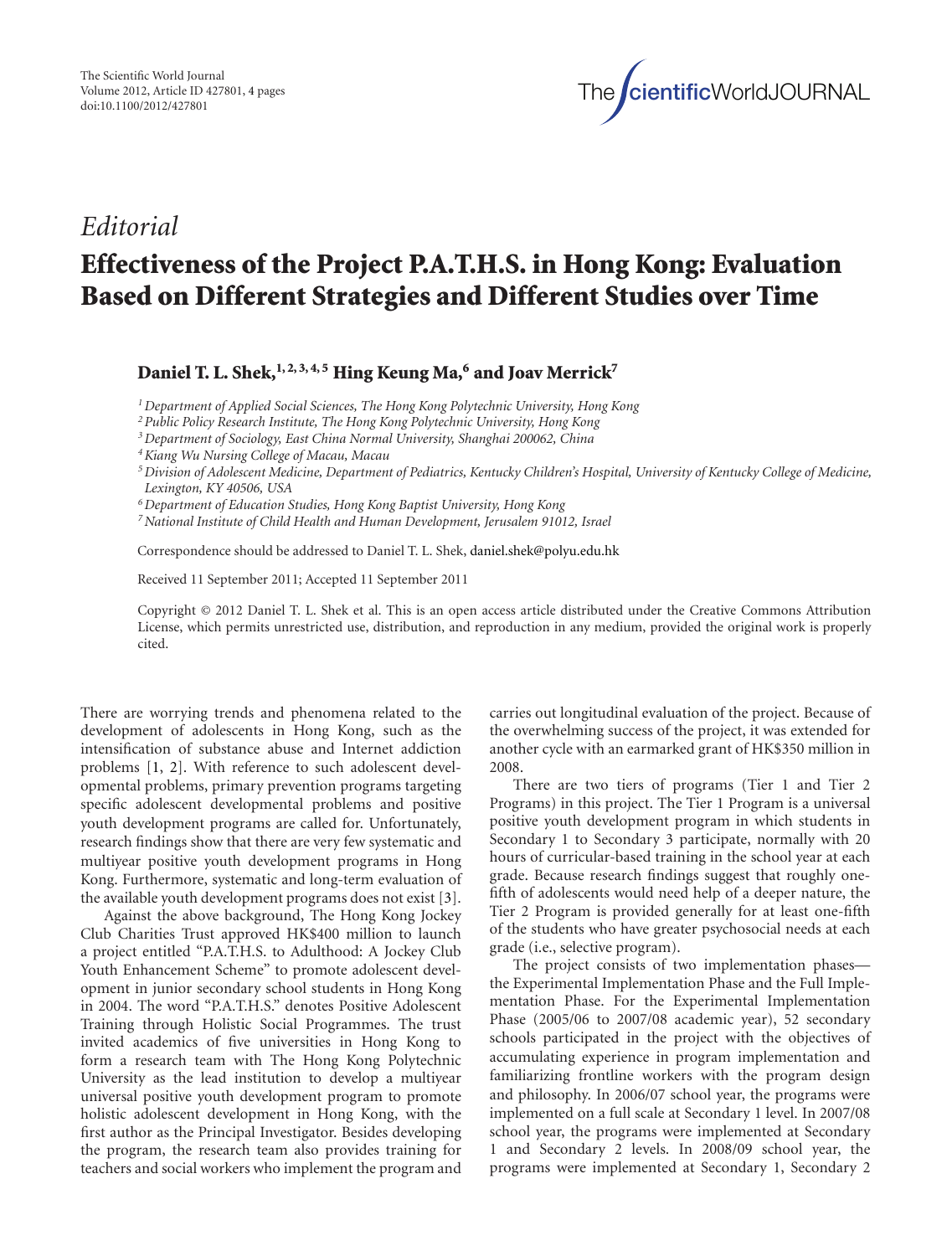

## *Editorial*

## **Effectiveness of the Project P.A.T.H.S. in Hong Kong: Evaluation Based on Different Strategies and Different Studies over Time**

Daniel T. L. Shek,<sup>1, 2, 3, 4, 5</sup> **Hing Keung Ma,<sup>6</sup> and Joav Merrick**<sup>7</sup>

*1Department of Applied Social Sciences, The Hong Kong Polytechnic University, Hong Kong*

*2Public Policy Research Institute, The Hong Kong Polytechnic University, Hong Kong*

*3Department of Sociology, East China Normal University, Shanghai 200062, China*

*4Kiang Wu Nursing College of Macau, Macau*

*5Division of Adolescent Medicine, Department of Pediatrics, Kentucky Children's Hospital, University of Kentucky College of Medicine, Lexington, KY 40506, USA*

*6Department of Education Studies, Hong Kong Baptist University, Hong Kong*

*7National Institute of Child Health and Human Development, Jerusalem 91012, Israel*

Correspondence should be addressed to Daniel T. L. Shek, daniel.shek@polyu.edu.hk

Received 11 September 2011; Accepted 11 September 2011

Copyright © 2012 Daniel T. L. Shek et al. This is an open access article distributed under the Creative Commons Attribution License, which permits unrestricted use, distribution, and reproduction in any medium, provided the original work is properly cited.

There are worrying trends and phenomena related to the development of adolescents in Hong Kong, such as the intensification of substance abuse and Internet addiction problems [1, 2]. With reference to such adolescent developmental problems, primary prevention programs targeting specific adolescent developmental problems and positive youth development programs are called for. Unfortunately, research findings show that there are very few systematic and multiyear positive youth development programs in Hong Kong. Furthermore, systematic and long-term evaluation of the available youth development programs does not exist [3].

Against the above background, The Hong Kong Jockey Club Charities Trust approved HK\$400 million to launch a project entitled "P.A.T.H.S. to Adulthood: A Jockey Club Youth Enhancement Scheme" to promote adolescent development in junior secondary school students in Hong Kong in 2004. The word "P.A.T.H.S." denotes Positive Adolescent Training through Holistic Social Programmes. The trust invited academics of five universities in Hong Kong to form a research team with The Hong Kong Polytechnic University as the lead institution to develop a multiyear universal positive youth development program to promote holistic adolescent development in Hong Kong, with the first author as the Principal Investigator. Besides developing the program, the research team also provides training for teachers and social workers who implement the program and

carries out longitudinal evaluation of the project. Because of the overwhelming success of the project, it was extended for another cycle with an earmarked grant of HK\$350 million in 2008.

There are two tiers of programs (Tier 1 and Tier 2 Programs) in this project. The Tier 1 Program is a universal positive youth development program in which students in Secondary 1 to Secondary 3 participate, normally with 20 hours of curricular-based training in the school year at each grade. Because research findings suggest that roughly onefifth of adolescents would need help of a deeper nature, the Tier 2 Program is provided generally for at least one-fifth of the students who have greater psychosocial needs at each grade (i.e., selective program).

The project consists of two implementation phases the Experimental Implementation Phase and the Full Implementation Phase. For the Experimental Implementation Phase (2005/06 to 2007/08 academic year), 52 secondary schools participated in the project with the objectives of accumulating experience in program implementation and familiarizing frontline workers with the program design and philosophy. In 2006/07 school year, the programs were implemented on a full scale at Secondary 1 level. In 2007/08 school year, the programs were implemented at Secondary 1 and Secondary 2 levels. In 2008/09 school year, the programs were implemented at Secondary 1, Secondary 2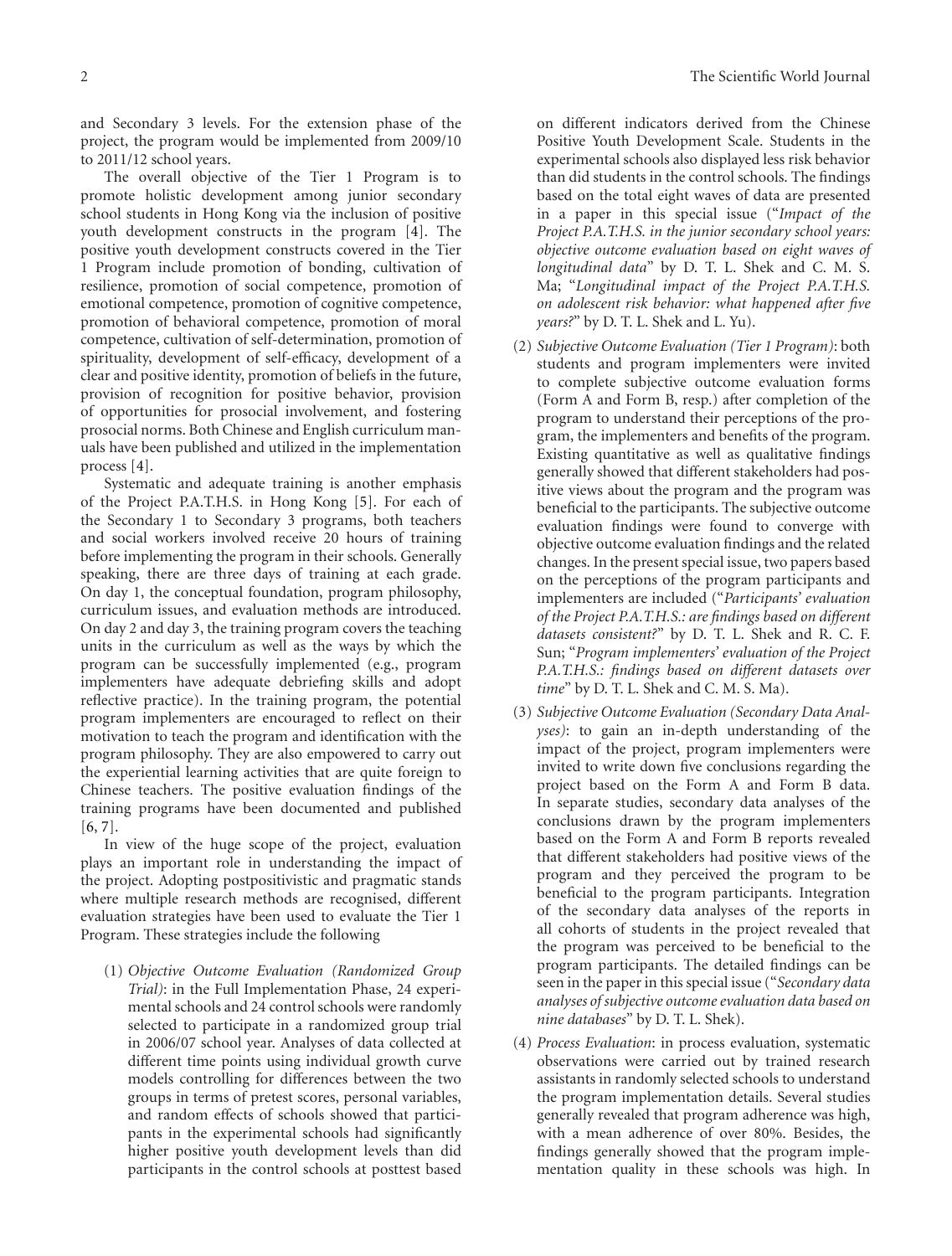and Secondary 3 levels. For the extension phase of the project, the program would be implemented from 2009/10 to 2011/12 school years.

The overall objective of the Tier 1 Program is to promote holistic development among junior secondary school students in Hong Kong via the inclusion of positive youth development constructs in the program [4]. The positive youth development constructs covered in the Tier 1 Program include promotion of bonding, cultivation of resilience, promotion of social competence, promotion of emotional competence, promotion of cognitive competence, promotion of behavioral competence, promotion of moral competence, cultivation of self-determination, promotion of spirituality, development of self-efficacy, development of a clear and positive identity, promotion of beliefs in the future, provision of recognition for positive behavior, provision of opportunities for prosocial involvement, and fostering prosocial norms. Both Chinese and English curriculum manuals have been published and utilized in the implementation process [4].

Systematic and adequate training is another emphasis of the Project P.A.T.H.S. in Hong Kong [5]. For each of the Secondary 1 to Secondary 3 programs, both teachers and social workers involved receive 20 hours of training before implementing the program in their schools. Generally speaking, there are three days of training at each grade. On day 1, the conceptual foundation, program philosophy, curriculum issues, and evaluation methods are introduced. On day 2 and day 3, the training program covers the teaching units in the curriculum as well as the ways by which the program can be successfully implemented (e.g., program implementers have adequate debriefing skills and adopt reflective practice). In the training program, the potential program implementers are encouraged to reflect on their motivation to teach the program and identification with the program philosophy. They are also empowered to carry out the experiential learning activities that are quite foreign to Chinese teachers. The positive evaluation findings of the training programs have been documented and published [6, 7].

In view of the huge scope of the project, evaluation plays an important role in understanding the impact of the project. Adopting postpositivistic and pragmatic stands where multiple research methods are recognised, different evaluation strategies have been used to evaluate the Tier 1 Program. These strategies include the following

(1) *Objective Outcome Evaluation (Randomized Group Trial)*: in the Full Implementation Phase, 24 experimental schools and 24 control schools were randomly selected to participate in a randomized group trial in 2006/07 school year. Analyses of data collected at different time points using individual growth curve models controlling for differences between the two groups in terms of pretest scores, personal variables, and random effects of schools showed that participants in the experimental schools had significantly higher positive youth development levels than did participants in the control schools at posttest based

on different indicators derived from the Chinese Positive Youth Development Scale. Students in the experimental schools also displayed less risk behavior than did students in the control schools. The findings based on the total eight waves of data are presented in a paper in this special issue ("*Impact of the Project P.A.T.H.S. in the junior secondary school years: objective outcome evaluation based on eight waves of longitudinal data*" by D. T. L. Shek and C. M. S. Ma; "*Longitudinal impact of the Project P.A.T.H.S. on adolescent risk behavior: what happened after five years?*" by D. T. L. Shek and L. Yu).

- (2) *Subjective Outcome Evaluation (Tier 1 Program)*: both students and program implementers were invited to complete subjective outcome evaluation forms (Form A and Form B, resp.) after completion of the program to understand their perceptions of the program, the implementers and benefits of the program. Existing quantitative as well as qualitative findings generally showed that different stakeholders had positive views about the program and the program was beneficial to the participants. The subjective outcome evaluation findings were found to converge with objective outcome evaluation findings and the related changes. In the present special issue, two papers based on the perceptions of the program participants and implementers are included ("*Participants' evaluation of the Project P.A.T.H.S.: are findings based on different datasets consistent?*" by D. T. L. Shek and R. C. F. Sun; "*Program implementers' evaluation of the Project P.A.T.H.S.: findings based on different datasets over time*" by D. T. L. Shek and C. M. S. Ma).
- (3) *Subjective Outcome Evaluation (Secondary Data Analyses)*: to gain an in-depth understanding of the impact of the project, program implementers were invited to write down five conclusions regarding the project based on the Form A and Form B data. In separate studies, secondary data analyses of the conclusions drawn by the program implementers based on the Form A and Form B reports revealed that different stakeholders had positive views of the program and they perceived the program to be beneficial to the program participants. Integration of the secondary data analyses of the reports in all cohorts of students in the project revealed that the program was perceived to be beneficial to the program participants. The detailed findings can be seen in the paper in this special issue ("*Secondary data analyses of subjective outcome evaluation data based on nine databases*" by D. T. L. Shek).
- (4) *Process Evaluation*: in process evaluation, systematic observations were carried out by trained research assistants in randomly selected schools to understand the program implementation details. Several studies generally revealed that program adherence was high, with a mean adherence of over 80%. Besides, the findings generally showed that the program implementation quality in these schools was high. In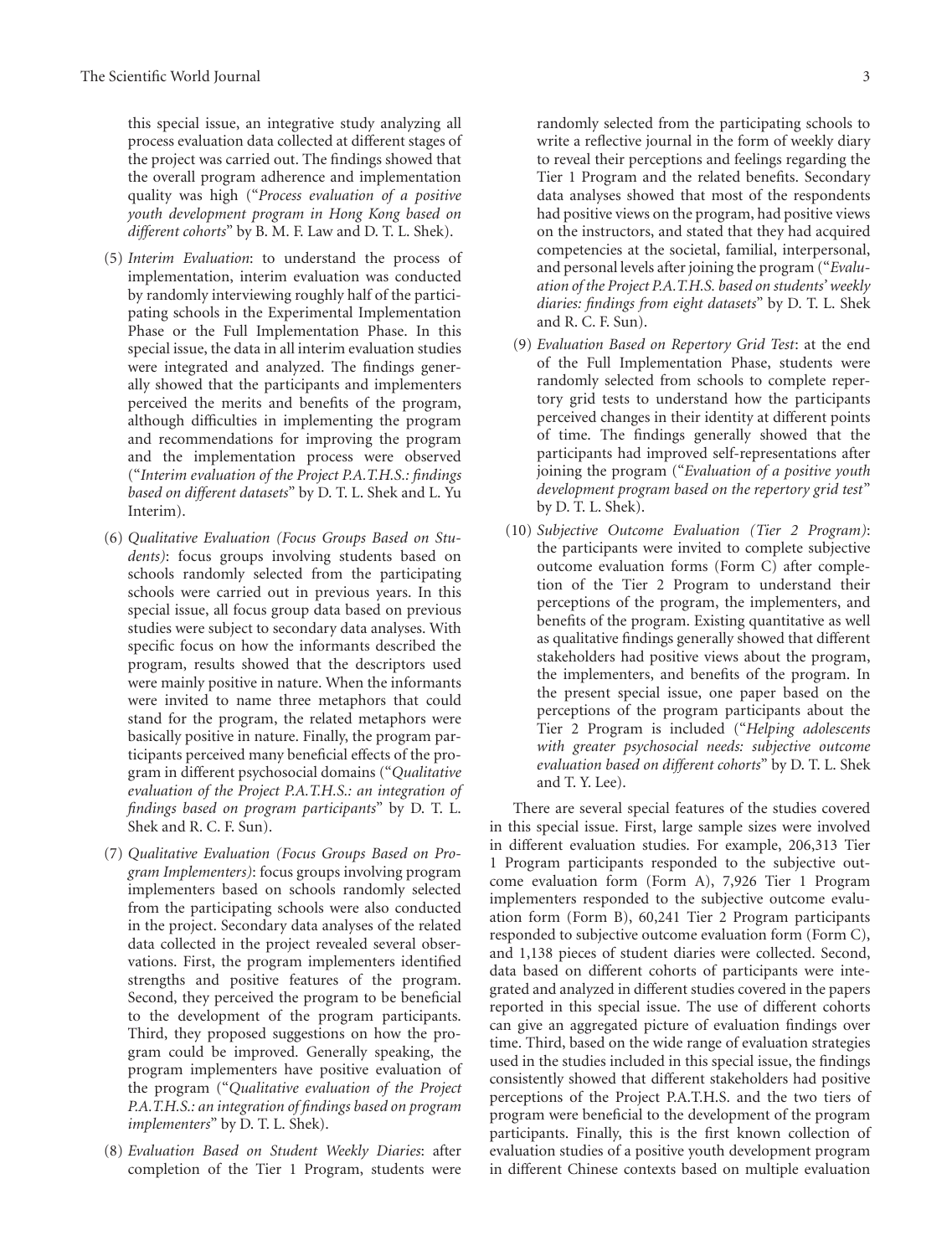this special issue, an integrative study analyzing all process evaluation data collected at different stages of the project was carried out. The findings showed that the overall program adherence and implementation quality was high ("*Process evaluation of a positive youth development program in Hong Kong based on different cohorts*" by B. M. F. Law and D. T. L. Shek).

- (5) *Interim Evaluation*: to understand the process of implementation, interim evaluation was conducted by randomly interviewing roughly half of the participating schools in the Experimental Implementation Phase or the Full Implementation Phase. In this special issue, the data in all interim evaluation studies were integrated and analyzed. The findings generally showed that the participants and implementers perceived the merits and benefits of the program, although difficulties in implementing the program and recommendations for improving the program and the implementation process were observed ("*Interim evaluation of the Project P.A.T.H.S.: findings based on different datasets*" by D. T. L. Shek and L. Yu Interim).
- (6) *Qualitative Evaluation (Focus Groups Based on Students)*: focus groups involving students based on schools randomly selected from the participating schools were carried out in previous years. In this special issue, all focus group data based on previous studies were subject to secondary data analyses. With specific focus on how the informants described the program, results showed that the descriptors used were mainly positive in nature. When the informants were invited to name three metaphors that could stand for the program, the related metaphors were basically positive in nature. Finally, the program participants perceived many beneficial effects of the program in different psychosocial domains ("*Qualitative evaluation of the Project P.A.T.H.S.: an integration of findings based on program participants*" by D. T. L. Shek and R. C. F. Sun).
- (7) *Qualitative Evaluation (Focus Groups Based on Program Implementers)*: focus groups involving program implementers based on schools randomly selected from the participating schools were also conducted in the project. Secondary data analyses of the related data collected in the project revealed several observations. First, the program implementers identified strengths and positive features of the program. Second, they perceived the program to be beneficial to the development of the program participants. Third, they proposed suggestions on how the program could be improved. Generally speaking, the program implementers have positive evaluation of the program ("*Qualitative evaluation of the Project P.A.T.H.S.: an integration of findings based on program implementers*" by D. T. L. Shek).
- (8) *Evaluation Based on Student Weekly Diaries*: after completion of the Tier 1 Program, students were

randomly selected from the participating schools to write a reflective journal in the form of weekly diary to reveal their perceptions and feelings regarding the Tier 1 Program and the related benefits. Secondary data analyses showed that most of the respondents had positive views on the program, had positive views on the instructors, and stated that they had acquired competencies at the societal, familial, interpersonal, and personal levels after joining the program ("*Evaluation of the Project P.A.T.H.S. based on students' weekly diaries: findings from eight datasets*" by D. T. L. Shek and R. C. F. Sun).

- (9) *Evaluation Based on Repertory Grid Test*: at the end of the Full Implementation Phase, students were randomly selected from schools to complete repertory grid tests to understand how the participants perceived changes in their identity at different points of time. The findings generally showed that the participants had improved self-representations after joining the program ("*Evaluation of a positive youth development program based on the repertory grid test*" by D. T. L. Shek).
- (10) *Subjective Outcome Evaluation (Tier 2 Program)*: the participants were invited to complete subjective outcome evaluation forms (Form C) after completion of the Tier 2 Program to understand their perceptions of the program, the implementers, and benefits of the program. Existing quantitative as well as qualitative findings generally showed that different stakeholders had positive views about the program, the implementers, and benefits of the program. In the present special issue, one paper based on the perceptions of the program participants about the Tier 2 Program is included ("*Helping adolescents with greater psychosocial needs: subjective outcome evaluation based on different cohorts*" by D. T. L. Shek and T. Y. Lee).

There are several special features of the studies covered in this special issue. First, large sample sizes were involved in different evaluation studies. For example, 206,313 Tier 1 Program participants responded to the subjective outcome evaluation form (Form A), 7,926 Tier 1 Program implementers responded to the subjective outcome evaluation form (Form B), 60,241 Tier 2 Program participants responded to subjective outcome evaluation form (Form C), and 1,138 pieces of student diaries were collected. Second, data based on different cohorts of participants were integrated and analyzed in different studies covered in the papers reported in this special issue. The use of different cohorts can give an aggregated picture of evaluation findings over time. Third, based on the wide range of evaluation strategies used in the studies included in this special issue, the findings consistently showed that different stakeholders had positive perceptions of the Project P.A.T.H.S. and the two tiers of program were beneficial to the development of the program participants. Finally, this is the first known collection of evaluation studies of a positive youth development program in different Chinese contexts based on multiple evaluation